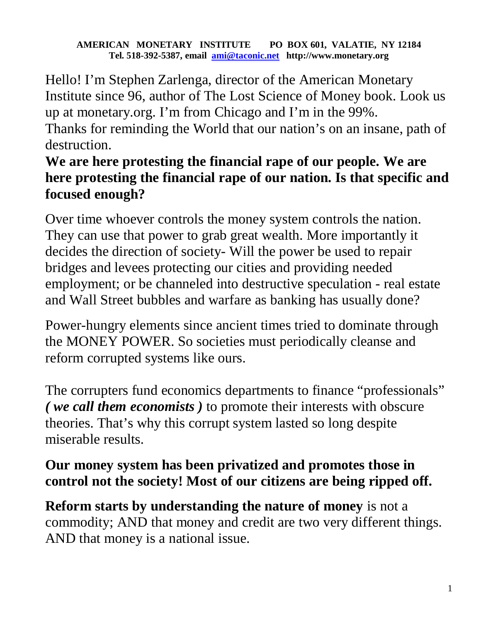## **AMERICAN MONETARY INSTITUTE PO BOX 601, VALATIE, NY 12184 Tel. 518-392-5387, email ami@taconic.net http://www.monetary.org**

Hello! I'm Stephen Zarlenga, director of the American Monetary Institute since 96, author of The Lost Science of Money book. Look us up at monetary.org. I'm from Chicago and I'm in the 99%. Thanks for reminding the World that our nation's on an insane, path of destruction.

## **We are here protesting the financial rape of our people. We are here protesting the financial rape of our nation. Is that specific and focused enough?**

Over time whoever controls the money system controls the nation. They can use that power to grab great wealth. More importantly it decides the direction of society- Will the power be used to repair bridges and levees protecting our cities and providing needed employment; or be channeled into destructive speculation - real estate and Wall Street bubbles and warfare as banking has usually done?

Power-hungry elements since ancient times tried to dominate through the MONEY POWER. So societies must periodically cleanse and reform corrupted systems like ours.

The corrupters fund economics departments to finance "professionals" *( we call them economists )* to promote their interests with obscure theories. That's why this corrupt system lasted so long despite miserable results.

## **Our money system has been privatized and promotes those in control not the society! Most of our citizens are being ripped off.**

**Reform starts by understanding the nature of money** is not a commodity; AND that money and credit are two very different things. AND that money is a national issue.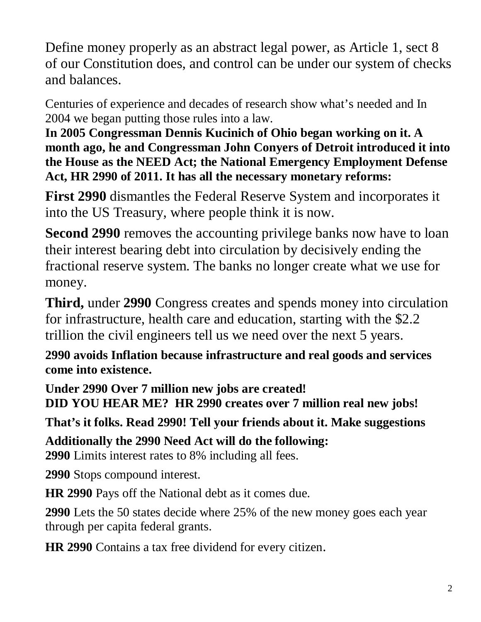Define money properly as an abstract legal power, as Article 1, sect 8 of our Constitution does, and control can be under our system of checks and balances.

Centuries of experience and decades of research show what's needed and In 2004 we began putting those rules into a law.

**In 2005 Congressman Dennis Kucinich of Ohio began working on it. A month ago, he and Congressman John Conyers of Detroit introduced it into the House as the NEED Act; the National Emergency Employment Defense Act, HR 2990 of 2011. It has all the necessary monetary reforms:** 

**First 2990** dismantles the Federal Reserve System and incorporates it into the US Treasury, where people think it is now.

**Second 2990** removes the accounting privilege banks now have to loan their interest bearing debt into circulation by decisively ending the fractional reserve system. The banks no longer create what we use for money.

**Third,** under **2990** Congress creates and spends money into circulation for infrastructure, health care and education, starting with the \$2.2 trillion the civil engineers tell us we need over the next 5 years.

**2990 avoids Inflation because infrastructure and real goods and services come into existence.** 

**Under 2990 Over 7 million new jobs are created! DID YOU HEAR ME? HR 2990 creates over 7 million real new jobs!** 

**That's it folks. Read 2990! Tell your friends about it. Make suggestions** 

**Additionally the 2990 Need Act will do the following:** 

**2990** Limits interest rates to 8% including all fees.

**2990** Stops compound interest.

**HR 2990** Pays off the National debt as it comes due.

**2990** Lets the 50 states decide where 25% of the new money goes each year through per capita federal grants.

**HR 2990** Contains a tax free dividend for every citizen.